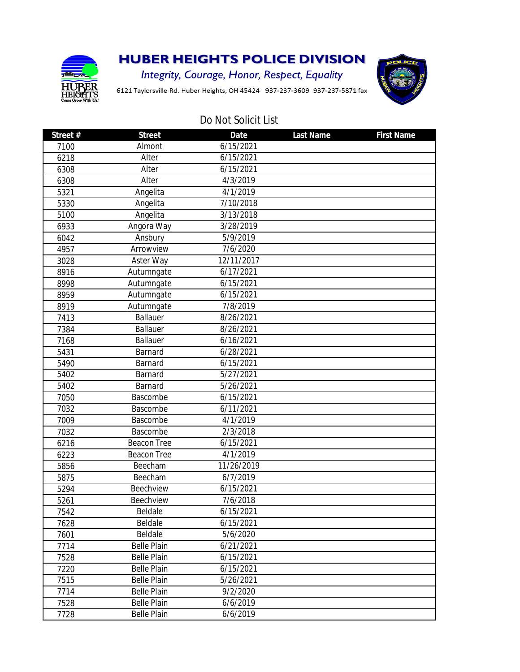

## **HUBER HEIGHTS POLICE DIVISION**

**Integrity, Courage, Honor, Respect, Equality** 

6121 Taylorsville Rd. Huber Heights, OH 45424 937-237-3609 937-237-5871 fax



## Do Not Solicit List

| Street# | <b>Street</b>      | <b>Date</b> | <b>Last Name</b> | <b>First Name</b> |
|---------|--------------------|-------------|------------------|-------------------|
| 7100    | Almont             | 6/15/2021   |                  |                   |
| 6218    | Alter              | 6/15/2021   |                  |                   |
| 6308    | Alter              | 6/15/2021   |                  |                   |
| 6308    | Alter              | 4/3/2019    |                  |                   |
| 5321    | Angelita           | 4/1/2019    |                  |                   |
| 5330    | Angelita           | 7/10/2018   |                  |                   |
| 5100    | Angelita           | 3/13/2018   |                  |                   |
| 6933    | Angora Way         | 3/28/2019   |                  |                   |
| 6042    | Ansbury            | 5/9/2019    |                  |                   |
| 4957    | Arrowview          | 7/6/2020    |                  |                   |
| 3028    | Aster Way          | 12/11/2017  |                  |                   |
| 8916    | Autumngate         | 6/17/2021   |                  |                   |
| 8998    | Autumngate         | 6/15/2021   |                  |                   |
| 8959    | Autumngate         | 6/15/2021   |                  |                   |
| 8919    | Autumngate         | 7/8/2019    |                  |                   |
| 7413    | <b>Ballauer</b>    | 8/26/2021   |                  |                   |
| 7384    | Ballauer           | 8/26/2021   |                  |                   |
| 7168    | Ballauer           | 6/16/2021   |                  |                   |
| 5431    | Barnard            | 6/28/2021   |                  |                   |
| 5490    | Barnard            | 6/15/2021   |                  |                   |
| 5402    | Barnard            | 5/27/2021   |                  |                   |
| 5402    | Barnard            | 5/26/2021   |                  |                   |
| 7050    | Bascombe           | 6/15/2021   |                  |                   |
| 7032    | Bascombe           | 6/11/2021   |                  |                   |
| 7009    | Bascombe           | 4/1/2019    |                  |                   |
| 7032    | Bascombe           | 2/3/2018    |                  |                   |
| 6216    | <b>Beacon Tree</b> | 6/15/2021   |                  |                   |
| 6223    | <b>Beacon Tree</b> | 4/1/2019    |                  |                   |
| 5856    | Beecham            | 11/26/2019  |                  |                   |
| 5875    | Beecham            | 6/7/2019    |                  |                   |
| 5294    | Beechview          | 6/15/2021   |                  |                   |
| 5261    | Beechview          | 7/6/2018    |                  |                   |
| 7542    | Beldale            | 6/15/2021   |                  |                   |
| 7628    | Beldale            | 6/15/2021   |                  |                   |
| 7601    | Beldale            | 5/6/2020    |                  |                   |
| 7714    | <b>Belle Plain</b> | 6/21/2021   |                  |                   |
| 7528    | <b>Belle Plain</b> | 6/15/2021   |                  |                   |
| 7220    | <b>Belle Plain</b> | 6/15/2021   |                  |                   |
| 7515    | <b>Belle Plain</b> | 5/26/2021   |                  |                   |
| 7714    | <b>Belle Plain</b> | 9/2/2020    |                  |                   |
| 7528    | <b>Belle Plain</b> | 6/6/2019    |                  |                   |
| 7728    | <b>Belle Plain</b> | 6/6/2019    |                  |                   |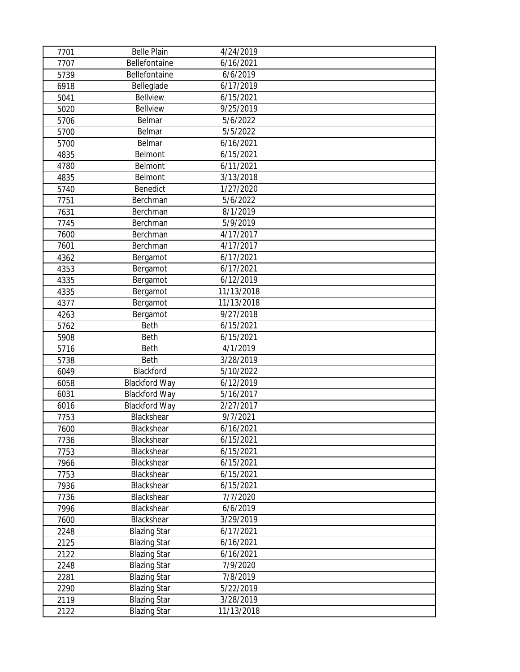| 7701 | <b>Belle Plain</b>   | 4/24/2019             |  |
|------|----------------------|-----------------------|--|
| 7707 | Bellefontaine        | 6/16/2021             |  |
| 5739 | Bellefontaine        | 6/6/2019              |  |
| 6918 | Belleglade           | 6/17/2019             |  |
| 5041 | <b>Bellview</b>      | 6/15/2021             |  |
| 5020 | <b>Bellview</b>      | 9/25/2019             |  |
| 5706 | Belmar               | 5/6/2022              |  |
| 5700 | Belmar               | $\overline{5}/5/2022$ |  |
| 5700 | Belmar               | 6/16/2021             |  |
| 4835 | Belmont              | 6/15/2021             |  |
| 4780 | Belmont              | 6/11/2021             |  |
| 4835 | Belmont              | 3/13/2018             |  |
| 5740 | Benedict             | 1/27/2020             |  |
| 7751 | Berchman             | 5/6/2022              |  |
| 7631 | Berchman             | 8/1/2019              |  |
| 7745 | Berchman             | 5/9/2019              |  |
| 7600 | Berchman             | 4/17/2017             |  |
| 7601 | Berchman             | 4/17/2017             |  |
| 4362 | Bergamot             | 6/17/2021             |  |
| 4353 | Bergamot             | 6/17/2021             |  |
| 4335 | Bergamot             | 6/12/2019             |  |
| 4335 | Bergamot             | 11/13/2018            |  |
| 4377 | Bergamot             | 11/13/2018            |  |
| 4263 | Bergamot             | 9/27/2018             |  |
| 5762 | Beth                 | 6/15/2021             |  |
| 5908 | Beth                 | 6/15/2021             |  |
| 5716 | Beth                 | 4/1/2019              |  |
| 5738 | Beth                 | 3/28/2019             |  |
| 6049 | Blackford            | 5/10/2022             |  |
| 6058 | <b>Blackford Way</b> | 6/12/2019             |  |
| 6031 | <b>Blackford Way</b> | 5/16/2017             |  |
| 6016 | Blackford Way        | 2/27/2017             |  |
| 7753 | Blackshear           | 9/7/2021              |  |
| 7600 | Blackshear           | 6/16/2021             |  |
| 7736 | Blackshear           | 6/15/2021             |  |
| 7753 | Blackshear           | 6/15/2021             |  |
| 7966 | Blackshear           | 6/15/2021             |  |
| 7753 | Blackshear           | 6/15/2021             |  |
| 7936 | Blackshear           | 6/15/2021             |  |
| 7736 | Blackshear           | 7/7/2020              |  |
| 7996 | Blackshear           | 6/6/2019              |  |
| 7600 | Blackshear           | 3/29/2019             |  |
| 2248 | <b>Blazing Star</b>  | 6/17/2021             |  |
| 2125 | <b>Blazing Star</b>  | 6/16/2021             |  |
| 2122 | <b>Blazing Star</b>  | 6/16/2021             |  |
| 2248 | <b>Blazing Star</b>  | 7/9/2020              |  |
| 2281 | <b>Blazing Star</b>  | 7/8/2019              |  |
| 2290 | <b>Blazing Star</b>  | 5/22/2019             |  |
| 2119 | <b>Blazing Star</b>  | 3/28/2019             |  |
| 2122 | <b>Blazing Star</b>  | 11/13/2018            |  |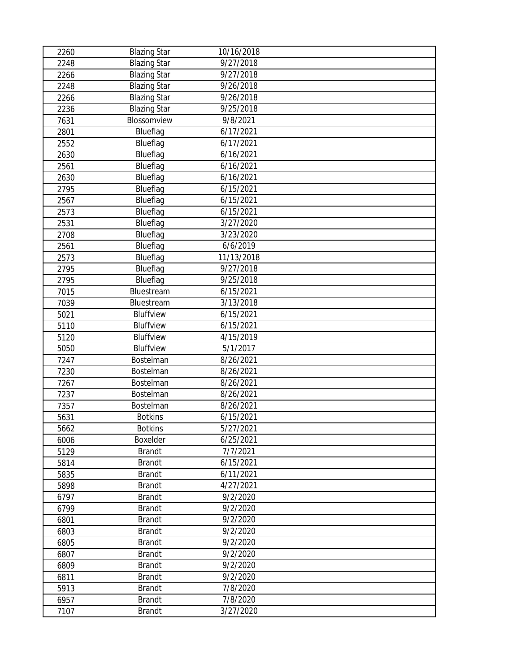| 2260 | <b>Blazing Star</b> | 10/16/2018 |  |
|------|---------------------|------------|--|
| 2248 | <b>Blazing Star</b> | 9/27/2018  |  |
| 2266 | <b>Blazing Star</b> | 9/27/2018  |  |
| 2248 | <b>Blazing Star</b> | 9/26/2018  |  |
| 2266 | <b>Blazing Star</b> | 9/26/2018  |  |
| 2236 | <b>Blazing Star</b> | 9/25/2018  |  |
| 7631 | Blossomview         | 9/8/2021   |  |
| 2801 | Blueflag            | 6/17/2021  |  |
| 2552 | Blueflag            | 6/17/2021  |  |
| 2630 | Blueflag            | 6/16/2021  |  |
| 2561 | Blueflag            | 6/16/2021  |  |
| 2630 | Blueflag            | 6/16/2021  |  |
| 2795 | Blueflag            | 6/15/2021  |  |
| 2567 | Blueflag            | 6/15/2021  |  |
| 2573 | Blueflag            | 6/15/2021  |  |
| 2531 | Blueflag            | 3/27/2020  |  |
| 2708 | Blueflag            | 3/23/2020  |  |
| 2561 | Blueflag            | 6/6/2019   |  |
| 2573 | Blueflag            | 11/13/2018 |  |
| 2795 | Blueflag            | 9/27/2018  |  |
| 2795 | Blueflag            | 9/25/2018  |  |
| 7015 | Bluestream          | 6/15/2021  |  |
| 7039 | Bluestream          | 3/13/2018  |  |
| 5021 | Bluffview           | 6/15/2021  |  |
| 5110 | Bluffview           | 6/15/2021  |  |
| 5120 | Bluffview           | 4/15/2019  |  |
| 5050 | Bluffview           | 5/1/2017   |  |
| 7247 | Bostelman           | 8/26/2021  |  |
| 7230 | Bostelman           | 8/26/2021  |  |
| 7267 | Bostelman           | 8/26/2021  |  |
| 7237 | Bostelman           | 8/26/2021  |  |
| 7357 | Bostelman           | 8/26/2021  |  |
| 5631 | <b>Botkins</b>      | 6/15/2021  |  |
| 5662 | <b>Botkins</b>      | 5/27/2021  |  |
| 6006 | Boxelder            | 6/25/2021  |  |
| 5129 | <b>Brandt</b>       | 7/7/2021   |  |
| 5814 | <b>Brandt</b>       | 6/15/2021  |  |
| 5835 | <b>Brandt</b>       | 6/11/2021  |  |
| 5898 | <b>Brandt</b>       | 4/27/2021  |  |
| 6797 | <b>Brandt</b>       | 9/2/2020   |  |
| 6799 | <b>Brandt</b>       | 9/2/2020   |  |
| 6801 | <b>Brandt</b>       | 9/2/2020   |  |
| 6803 | <b>Brandt</b>       | 9/2/2020   |  |
| 6805 | <b>Brandt</b>       | 9/2/2020   |  |
| 6807 | <b>Brandt</b>       | 9/2/2020   |  |
| 6809 | <b>Brandt</b>       | 9/2/2020   |  |
| 6811 | <b>Brandt</b>       | 9/2/2020   |  |
| 5913 | <b>Brandt</b>       | 7/8/2020   |  |
| 6957 | <b>Brandt</b>       | 7/8/2020   |  |
| 7107 | <b>Brandt</b>       | 3/27/2020  |  |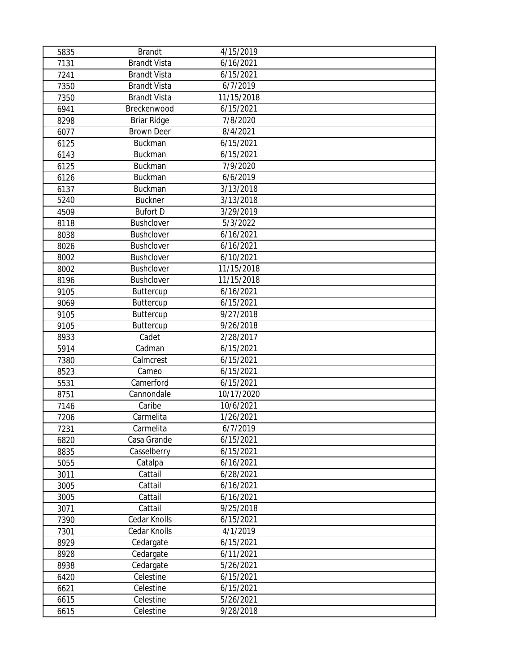| 5835 | <b>Brandt</b>       | 4/15/2019              |  |
|------|---------------------|------------------------|--|
| 7131 | <b>Brandt Vista</b> | 6/16/2021              |  |
| 7241 | <b>Brandt Vista</b> | 6/15/2021              |  |
| 7350 | <b>Brandt Vista</b> | 6/7/2019               |  |
| 7350 | <b>Brandt Vista</b> | 11/15/2018             |  |
| 6941 | Breckenwood         | 6/15/2021              |  |
| 8298 | Briar Ridge         | 7/8/2020               |  |
| 6077 | <b>Brown Deer</b>   | 8/4/2021               |  |
| 6125 | Buckman             | 6/15/2021              |  |
| 6143 | Buckman             | 6/15/2021              |  |
| 6125 | <b>Buckman</b>      | 7/9/2020               |  |
| 6126 | Buckman             | 6/6/2019               |  |
| 6137 | <b>Buckman</b>      | 3/13/2018              |  |
| 5240 | <b>Buckner</b>      | 3/13/2018              |  |
| 4509 | <b>Bufort D</b>     | 3/29/2019              |  |
| 8118 | Bushclover          | $\frac{1}{5}/3/2022$   |  |
| 8038 | <b>Bushclover</b>   | 6/16/2021              |  |
| 8026 | <b>Bushclover</b>   | 6/16/2021              |  |
| 8002 | <b>Bushclover</b>   | 6/10/2021              |  |
| 8002 | Bushclover          | 11/15/2018             |  |
| 8196 | Bushclover          | 11/15/2018             |  |
| 9105 | Buttercup           | 6/16/2021              |  |
| 9069 | Buttercup           | 6/15/2021              |  |
| 9105 | Buttercup           | 9/27/2018              |  |
| 9105 | Buttercup           | 9/26/2018              |  |
| 8933 | Cadet               | 2/28/2017              |  |
| 5914 | Cadman              | 6/15/2021              |  |
| 7380 | Calmcrest           | 6/15/2021              |  |
| 8523 | Cameo               | 6/15/2021              |  |
| 5531 | Camerford           | 6/15/2021              |  |
| 8751 | Cannondale          | 10/17/2020             |  |
| 7146 | Caribe              | 10/6/2021              |  |
| 7206 | Carmelita           | 1/26/2021              |  |
| 7231 | Carmelita           | 6/7/2019               |  |
| 6820 | Casa Grande         | 6/15/2021              |  |
| 8835 | Casselberry         | $\frac{1}{6}$ /15/2021 |  |
| 5055 | Catalpa             | 6/16/2021              |  |
| 3011 | Cattail             | 6/28/2021              |  |
| 3005 | Cattail             | 6/16/2021              |  |
| 3005 | Cattail             | 6/16/2021              |  |
| 3071 | Cattail             | 9/25/2018              |  |
| 7390 | Cedar Knolls        | 6/15/2021              |  |
| 7301 | Cedar Knolls        | 4/1/2019               |  |
| 8929 | Cedargate           | 6/15/2021              |  |
| 8928 | Cedargate           | 6/11/2021              |  |
| 8938 | Cedargate           | 5/26/2021              |  |
| 6420 | Celestine           | 6/15/2021              |  |
| 6621 | Celestine           | 6/15/2021              |  |
| 6615 | Celestine           | 5/26/2021              |  |
| 6615 | Celestine           | 9/28/2018              |  |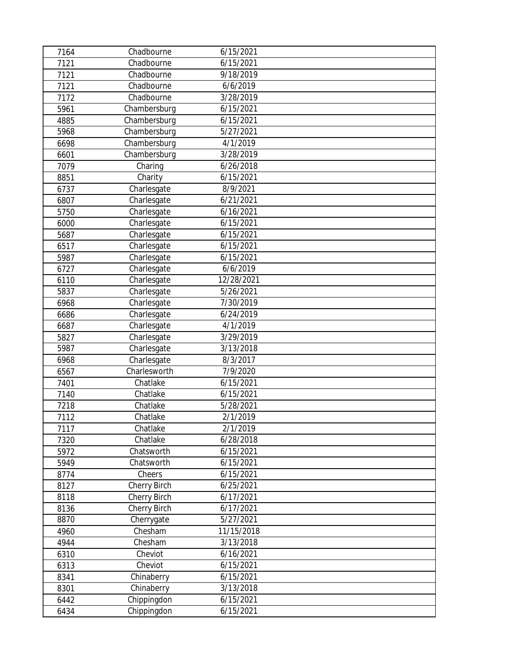| 7164 | Chadbourne   | 6/15/2021              |  |
|------|--------------|------------------------|--|
| 7121 | Chadbourne   | 6/15/2021              |  |
| 7121 | Chadbourne   | 9/18/2019              |  |
| 7121 | Chadbourne   | 6/6/2019               |  |
| 7172 | Chadbourne   | 3/28/2019              |  |
| 5961 | Chambersburg | 6/15/2021              |  |
| 4885 | Chambersburg | 6/15/2021              |  |
| 5968 | Chambersburg | 5/27/2021              |  |
| 6698 | Chambersburg | 4/1/2019               |  |
| 6601 | Chambersburg | 3/28/2019              |  |
| 7079 | Charing      | 6/26/2018              |  |
| 8851 | Charity      | 6/15/2021              |  |
| 6737 | Charlesgate  | 8/9/2021               |  |
| 6807 | Charlesgate  | 6/21/2021              |  |
| 5750 | Charlesgate  | 6/16/2021              |  |
| 6000 | Charlesgate  | 6/15/2021              |  |
| 5687 | Charlesgate  | 6/15/2021              |  |
| 6517 | Charlesgate  | 6/15/2021              |  |
| 5987 | Charlesgate  | 6/15/2021              |  |
| 6727 | Charlesgate  | 6/6/2019               |  |
| 6110 | Charlesgate  | 12/28/2021             |  |
| 5837 | Charlesgate  | $\overline{5}/26/2021$ |  |
| 6968 | Charlesgate  | 7/30/2019              |  |
| 6686 | Charlesgate  | 6/24/2019              |  |
| 6687 | Charlesgate  | 4/1/2019               |  |
| 5827 | Charlesgate  | 3/29/2019              |  |
| 5987 | Charlesgate  | 3/13/2018              |  |
| 6968 | Charlesgate  | 8/3/2017               |  |
| 6567 | Charlesworth | 7/9/2020               |  |
| 7401 | Chatlake     | 6/15/2021              |  |
| 7140 | Chatlake     | 6/15/2021              |  |
| 7218 | Chatlake     | 5/28/2021              |  |
| 7112 | Chatlake     | 2/1/2019               |  |
| 7117 | Chatlake     | 2/1/2019               |  |
| 7320 | Chatlake     | 6/28/2018              |  |
| 5972 | Chatsworth   | $\frac{1}{6}$ /15/2021 |  |
| 5949 | Chatsworth   | 6/15/2021              |  |
| 8774 | Cheers       | 6/15/2021              |  |
| 8127 | Cherry Birch | 6/25/2021              |  |
| 8118 | Cherry Birch | 6/17/2021              |  |
| 8136 | Cherry Birch | 6/17/2021              |  |
| 8870 | Cherrygate   | 5/27/2021              |  |
| 4960 | Chesham      | 11/15/2018             |  |
| 4944 | Chesham      | $\frac{1}{3}$ /13/2018 |  |
| 6310 | Cheviot      | 6/16/2021              |  |
| 6313 | Cheviot      | 6/15/2021              |  |
| 8341 | Chinaberry   | 6/15/2021              |  |
| 8301 | Chinaberry   | 3/13/2018              |  |
| 6442 | Chippingdon  | 6/15/2021              |  |
| 6434 | Chippingdon  | 6/15/2021              |  |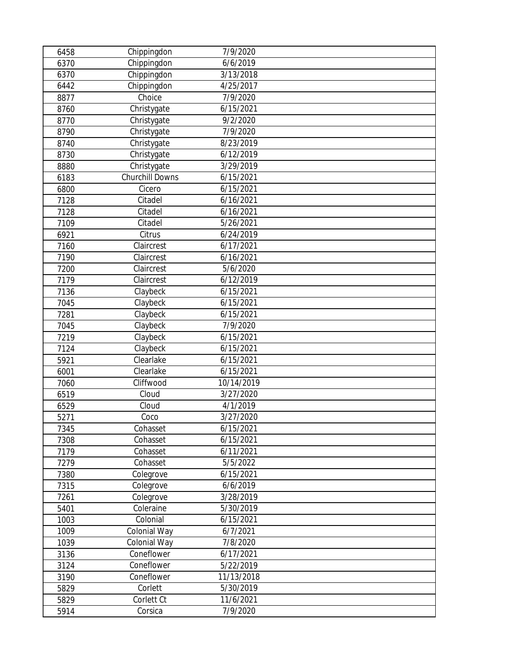| 6458 | Chippingdon            | 7/9/2020   |  |
|------|------------------------|------------|--|
| 6370 | Chippingdon            | 6/6/2019   |  |
| 6370 | Chippingdon            | 3/13/2018  |  |
| 6442 | Chippingdon            | 4/25/2017  |  |
| 8877 | Choice                 | 7/9/2020   |  |
| 8760 | Christygate            | 6/15/2021  |  |
| 8770 | Christygate            | 9/2/2020   |  |
| 8790 | Christygate            | 7/9/2020   |  |
| 8740 | Christygate            | 8/23/2019  |  |
| 8730 | Christygate            | 6/12/2019  |  |
| 8880 | Christygate            | 3/29/2019  |  |
| 6183 | <b>Churchill Downs</b> | 6/15/2021  |  |
| 6800 | Cicero                 | 6/15/2021  |  |
| 7128 | Citadel                | 6/16/2021  |  |
| 7128 | Citadel                | 6/16/2021  |  |
| 7109 | Citadel                | 5/26/2021  |  |
| 6921 | Citrus                 | 6/24/2019  |  |
| 7160 | Claircrest             | 6/17/2021  |  |
| 7190 | Claircrest             | 6/16/2021  |  |
| 7200 | Claircrest             | 5/6/2020   |  |
| 7179 | Claircrest             | 6/12/2019  |  |
| 7136 | Claybeck               | 6/15/2021  |  |
| 7045 | Claybeck               | 6/15/2021  |  |
| 7281 | Claybeck               | 6/15/2021  |  |
| 7045 | Claybeck               | 7/9/2020   |  |
| 7219 | Claybeck               | 6/15/2021  |  |
| 7124 | Claybeck               | 6/15/2021  |  |
| 5921 | Clearlake              | 6/15/2021  |  |
| 6001 | Clearlake              | 6/15/2021  |  |
| 7060 | Cliffwood              | 10/14/2019 |  |
| 6519 | Cloud                  | 3/27/2020  |  |
| 6529 | Cloud                  | 4/1/2019   |  |
| 5271 | Coco                   | 3/27/2020  |  |
| 7345 | Cohasset               | 6/15/2021  |  |
| 7308 | Cohasset               | 6/15/2021  |  |
| 7179 | Cohasset               | 6/11/2021  |  |
| 7279 | Cohasset               | 5/5/2022   |  |
| 7380 | Colegrove              | 6/15/2021  |  |
| 7315 | Colegrove              | 6/6/2019   |  |
| 7261 | Colegrove              | 3/28/2019  |  |
| 5401 | Coleraine              | 5/30/2019  |  |
| 1003 | Colonial               | 6/15/2021  |  |
| 1009 | Colonial Way           | 6/7/2021   |  |
| 1039 | Colonial Way           | 7/8/2020   |  |
| 3136 | Coneflower             | 6/17/2021  |  |
| 3124 | Coneflower             | 5/22/2019  |  |
| 3190 | Coneflower             | 11/13/2018 |  |
| 5829 | Corlett                | 5/30/2019  |  |
| 5829 | Corlett Ct             | 11/6/2021  |  |
| 5914 | Corsica                | 7/9/2020   |  |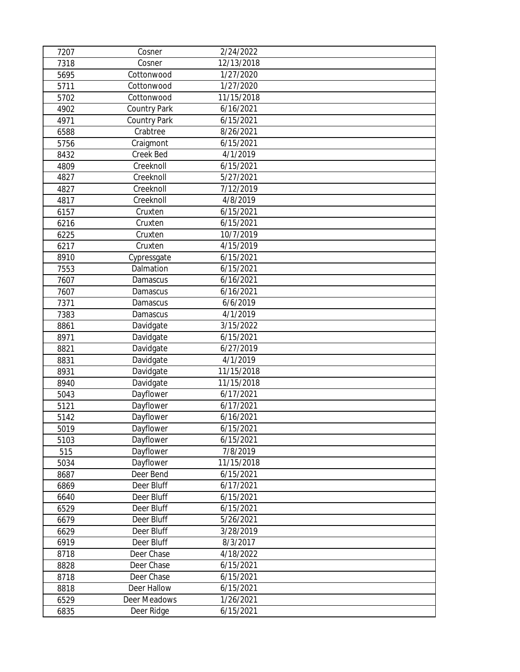| 7207 | Cosner       | 2/24/2022  |  |
|------|--------------|------------|--|
| 7318 | Cosner       | 12/13/2018 |  |
| 5695 | Cottonwood   | 1/27/2020  |  |
| 5711 | Cottonwood   | 1/27/2020  |  |
| 5702 | Cottonwood   | 11/15/2018 |  |
| 4902 | Country Park | 6/16/2021  |  |
| 4971 | Country Park | 6/15/2021  |  |
| 6588 | Crabtree     | 8/26/2021  |  |
| 5756 | Craigmont    | 6/15/2021  |  |
| 8432 | Creek Bed    | 4/1/2019   |  |
| 4809 | Creeknoll    | 6/15/2021  |  |
| 4827 | Creeknoll    | 5/27/2021  |  |
| 4827 | Creeknoll    | 7/12/2019  |  |
| 4817 | Creeknoll    | 4/8/2019   |  |
| 6157 | Cruxten      | 6/15/2021  |  |
| 6216 | Cruxten      | 6/15/2021  |  |
| 6225 | Cruxten      | 10/7/2019  |  |
| 6217 | Cruxten      | 4/15/2019  |  |
| 8910 | Cypressgate  | 6/15/2021  |  |
| 7553 | Dalmation    | 6/15/2021  |  |
| 7607 | Damascus     | 6/16/2021  |  |
| 7607 | Damascus     | 6/16/2021  |  |
| 7371 | Damascus     | 6/6/2019   |  |
| 7383 | Damascus     | 4/1/2019   |  |
| 8861 | Davidgate    | 3/15/2022  |  |
| 8971 | Davidgate    | 6/15/2021  |  |
| 8821 | Davidgate    | 6/27/2019  |  |
| 8831 | Davidgate    | 4/1/2019   |  |
| 8931 | Davidgate    | 11/15/2018 |  |
| 8940 | Davidgate    | 11/15/2018 |  |
| 5043 | Dayflower    | 6/17/2021  |  |
| 5121 | Dayflower    | 6/17/2021  |  |
| 5142 | Dayflower    | 6/16/2021  |  |
| 5019 | Dayflower    | 6/15/2021  |  |
| 5103 | Dayflower    | 6/15/2021  |  |
| 515  | Dayflower    | 7/8/2019   |  |
| 5034 | Dayflower    | 11/15/2018 |  |
| 8687 | Deer Bend    | 6/15/2021  |  |
| 6869 | Deer Bluff   | 6/17/2021  |  |
| 6640 | Deer Bluff   | 6/15/2021  |  |
| 6529 | Deer Bluff   | 6/15/2021  |  |
| 6679 | Deer Bluff   | 5/26/2021  |  |
| 6629 | Deer Bluff   | 3/28/2019  |  |
| 6919 | Deer Bluff   | 8/3/2017   |  |
| 8718 | Deer Chase   | 4/18/2022  |  |
| 8828 | Deer Chase   | 6/15/2021  |  |
| 8718 | Deer Chase   | 6/15/2021  |  |
| 8818 | Deer Hallow  | 6/15/2021  |  |
| 6529 | Deer Meadows | 1/26/2021  |  |
| 6835 | Deer Ridge   | 6/15/2021  |  |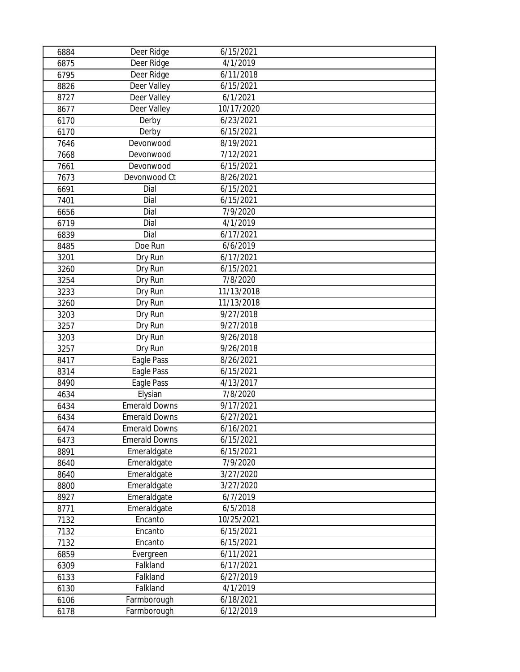| 6884 | Deer Ridge           | 6/15/2021  |  |
|------|----------------------|------------|--|
| 6875 | Deer Ridge           | 4/1/2019   |  |
| 6795 | Deer Ridge           | 6/11/2018  |  |
| 8826 | Deer Valley          | 6/15/2021  |  |
| 8727 | Deer Valley          | 6/1/2021   |  |
| 8677 | Deer Valley          | 10/17/2020 |  |
| 6170 | Derby                | 6/23/2021  |  |
| 6170 | Derby                | 6/15/2021  |  |
| 7646 | Devonwood            | 8/19/2021  |  |
| 7668 | Devonwood            | 7/12/2021  |  |
| 7661 | Devonwood            | 6/15/2021  |  |
| 7673 | Devonwood Ct         | 8/26/2021  |  |
| 6691 | Dial                 | 6/15/2021  |  |
| 7401 | Dial                 | 6/15/2021  |  |
| 6656 | Dial                 | 7/9/2020   |  |
| 6719 | Dial                 | 4/1/2019   |  |
| 6839 | Dial                 | 6/17/2021  |  |
| 8485 | Doe Run              | 6/6/2019   |  |
| 3201 | Dry Run              | 6/17/2021  |  |
| 3260 | Dry Run              | 6/15/2021  |  |
| 3254 | Dry Run              | 7/8/2020   |  |
| 3233 | Dry Run              | 11/13/2018 |  |
| 3260 | Dry Run              | 11/13/2018 |  |
| 3203 | Dry Run              | 9/27/2018  |  |
| 3257 | Dry Run              | 9/27/2018  |  |
| 3203 | Dry Run              | 9/26/2018  |  |
| 3257 | Dry Run              | 9/26/2018  |  |
| 8417 | Eagle Pass           | 8/26/2021  |  |
| 8314 | Eagle Pass           | 6/15/2021  |  |
| 8490 | Eagle Pass           | 4/13/2017  |  |
| 4634 | Elysian              | 7/8/2020   |  |
| 6434 | <b>Emerald Downs</b> | 9/17/2021  |  |
| 6434 | <b>Emerald Downs</b> | 6/27/2021  |  |
| 6474 | <b>Emerald Downs</b> | 6/16/2021  |  |
| 6473 | <b>Emerald Downs</b> | 6/15/2021  |  |
| 8891 | Emeraldgate          | 6/15/2021  |  |
| 8640 | Emeraldgate          | 7/9/2020   |  |
| 8640 | Emeraldgate          | 3/27/2020  |  |
| 8800 | Emeraldgate          | 3/27/2020  |  |
| 8927 | Emeraldgate          | 6/7/2019   |  |
| 8771 | Emeraldgate          | 6/5/2018   |  |
| 7132 | Encanto              | 10/25/2021 |  |
| 7132 | Encanto              | 6/15/2021  |  |
| 7132 | Encanto              | 6/15/2021  |  |
| 6859 | Evergreen            | 6/11/2021  |  |
| 6309 | Falkland             | 6/17/2021  |  |
| 6133 | Falkland             | 6/27/2019  |  |
| 6130 | Falkland             | 4/1/2019   |  |
| 6106 | Farmborough          | 6/18/2021  |  |
| 6178 | Farmborough          | 6/12/2019  |  |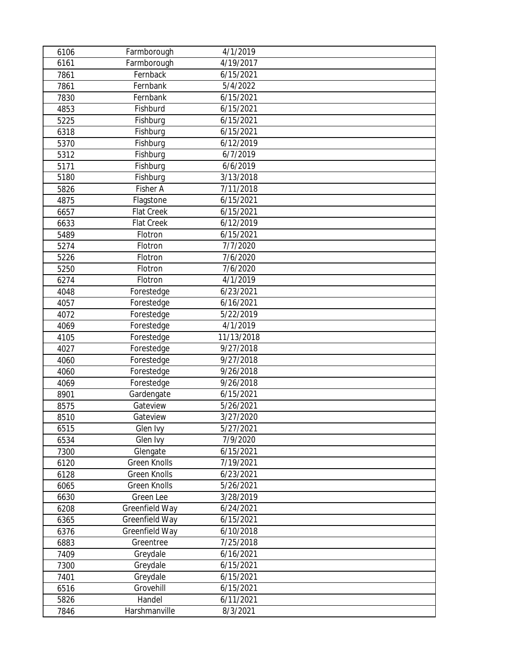| 6106 | Farmborough         | 4/1/2019   |  |
|------|---------------------|------------|--|
| 6161 | Farmborough         | 4/19/2017  |  |
| 7861 | Fernback            | 6/15/2021  |  |
| 7861 | Fernbank            | 5/4/2022   |  |
| 7830 | Fernbank            | 6/15/2021  |  |
| 4853 | Fishburd            | 6/15/2021  |  |
| 5225 | Fishburg            | 6/15/2021  |  |
| 6318 | Fishburg            | 6/15/2021  |  |
| 5370 | Fishburg            | 6/12/2019  |  |
| 5312 | Fishburg            | 6/7/2019   |  |
| 5171 | Fishburg            | 6/6/2019   |  |
| 5180 | Fishburg            | 3/13/2018  |  |
| 5826 | Fisher A            | 7/11/2018  |  |
| 4875 | Flagstone           | 6/15/2021  |  |
| 6657 | <b>Flat Creek</b>   | 6/15/2021  |  |
| 6633 | <b>Flat Creek</b>   | 6/12/2019  |  |
| 5489 | Flotron             | 6/15/2021  |  |
| 5274 | Flotron             | 7/7/2020   |  |
| 5226 | Flotron             | 7/6/2020   |  |
| 5250 | Flotron             | 7/6/2020   |  |
| 6274 | Flotron             | 4/1/2019   |  |
| 4048 | Forestedge          | 6/23/2021  |  |
| 4057 | Forestedge          | 6/16/2021  |  |
| 4072 | Forestedge          | 5/22/2019  |  |
| 4069 | Forestedge          | 4/1/2019   |  |
| 4105 | Forestedge          | 11/13/2018 |  |
| 4027 | Forestedge          | 9/27/2018  |  |
| 4060 | Forestedge          | 9/27/2018  |  |
| 4060 | Forestedge          | 9/26/2018  |  |
| 4069 | Forestedge          | 9/26/2018  |  |
| 8901 | Gardengate          | 6/15/2021  |  |
| 8575 | Gateview            | 5/26/2021  |  |
| 8510 | Gateview            | 3/27/2020  |  |
| 6515 | Glen Ivy            | 5/27/2021  |  |
| 6534 | Glen Ivy            | 7/9/2020   |  |
| 7300 | Glengate            | 6/15/2021  |  |
| 6120 | Green Knolls        | 7/19/2021  |  |
| 6128 | <b>Green Knolls</b> | 6/23/2021  |  |
| 6065 | <b>Green Knolls</b> | 5/26/2021  |  |
| 6630 | <b>Green Lee</b>    | 3/28/2019  |  |
| 6208 | Greenfield Way      | 6/24/2021  |  |
| 6365 | Greenfield Way      | 6/15/2021  |  |
| 6376 | Greenfield Way      | 6/10/2018  |  |
| 6883 | Greentree           | 7/25/2018  |  |
| 7409 | Greydale            | 6/16/2021  |  |
| 7300 | Greydale            | 6/15/2021  |  |
| 7401 | Greydale            | 6/15/2021  |  |
| 6516 | Grovehill           | 6/15/2021  |  |
| 5826 | Handel              | 6/11/2021  |  |
| 7846 | Harshmanville       | 8/3/2021   |  |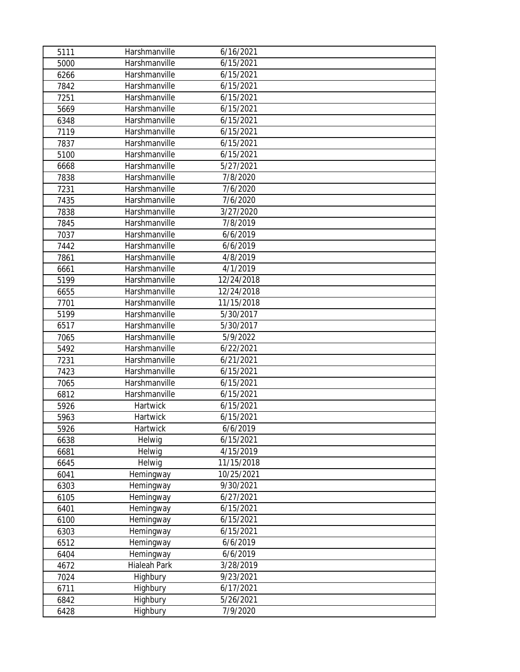| 5111 | Harshmanville | 6/16/2021  |  |
|------|---------------|------------|--|
| 5000 | Harshmanville | 6/15/2021  |  |
| 6266 | Harshmanville | 6/15/2021  |  |
| 7842 | Harshmanville | 6/15/2021  |  |
| 7251 | Harshmanville | 6/15/2021  |  |
| 5669 | Harshmanville | 6/15/2021  |  |
| 6348 | Harshmanville | 6/15/2021  |  |
| 7119 | Harshmanville | 6/15/2021  |  |
| 7837 | Harshmanville | 6/15/2021  |  |
| 5100 | Harshmanville | 6/15/2021  |  |
| 6668 | Harshmanville | 5/27/2021  |  |
| 7838 | Harshmanville | 7/8/2020   |  |
| 7231 | Harshmanville | 7/6/2020   |  |
| 7435 | Harshmanville | 7/6/2020   |  |
| 7838 | Harshmanville | 3/27/2020  |  |
| 7845 | Harshmanville | 7/8/2019   |  |
| 7037 | Harshmanville | 6/6/2019   |  |
| 7442 | Harshmanville | 6/6/2019   |  |
| 7861 | Harshmanville | 4/8/2019   |  |
| 6661 | Harshmanville | 4/1/2019   |  |
| 5199 | Harshmanville | 12/24/2018 |  |
| 6655 | Harshmanville | 12/24/2018 |  |
| 7701 | Harshmanville | 11/15/2018 |  |
| 5199 | Harshmanville | 5/30/2017  |  |
| 6517 | Harshmanville | 5/30/2017  |  |
| 7065 | Harshmanville | 5/9/2022   |  |
| 5492 | Harshmanville | 6/22/2021  |  |
| 7231 | Harshmanville | 6/21/2021  |  |
| 7423 | Harshmanville | 6/15/2021  |  |
| 7065 | Harshmanville | 6/15/2021  |  |
| 6812 | Harshmanville | 6/15/2021  |  |
| 5926 | Hartwick      | 6/15/2021  |  |
| 5963 | Hartwick      | 6/15/2021  |  |
| 5926 | Hartwick      | 6/6/2019   |  |
| 6638 | Helwig        | 6/15/2021  |  |
| 6681 | Helwig        | 4/15/2019  |  |
| 6645 | Helwig        | 11/15/2018 |  |
| 6041 | Hemingway     | 10/25/2021 |  |
| 6303 | Hemingway     | 9/30/2021  |  |
| 6105 | Hemingway     | 6/27/2021  |  |
| 6401 | Hemingway     | 6/15/2021  |  |
| 6100 | Hemingway     | 6/15/2021  |  |
| 6303 | Hemingway     | 6/15/2021  |  |
| 6512 | Hemingway     | 6/6/2019   |  |
| 6404 | Hemingway     | 6/6/2019   |  |
| 4672 | Hialeah Park  | 3/28/2019  |  |
| 7024 | Highbury      | 9/23/2021  |  |
| 6711 | Highbury      | 6/17/2021  |  |
| 6842 | Highbury      | 5/26/2021  |  |
| 6428 | Highbury      | 7/9/2020   |  |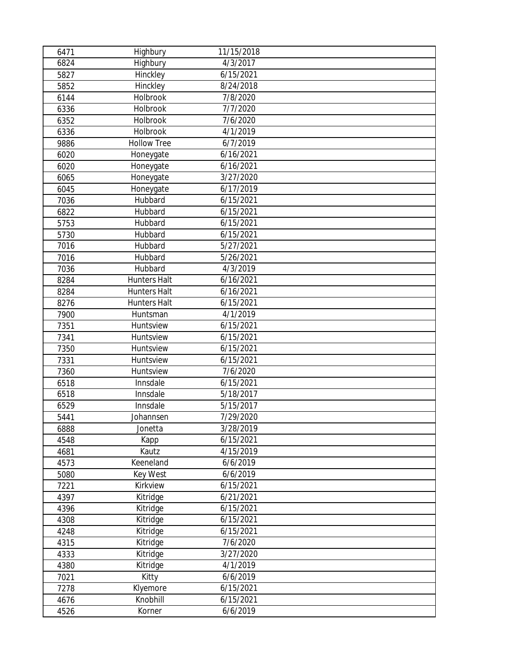| 6471 | Highbury            | 11/15/2018             |  |
|------|---------------------|------------------------|--|
| 6824 | Highbury            | 4/3/2017               |  |
| 5827 | Hinckley            | 6/15/2021              |  |
| 5852 | Hinckley            | 8/24/2018              |  |
| 6144 | Holbrook            | 7/8/2020               |  |
| 6336 | Holbrook            | 7/7/2020               |  |
| 6352 | Holbrook            | 7/6/2020               |  |
| 6336 | Holbrook            | 4/1/2019               |  |
| 9886 | <b>Hollow Tree</b>  | 6/7/2019               |  |
| 6020 | Honeygate           | 6/16/2021              |  |
| 6020 | Honeygate           | 6/16/2021              |  |
| 6065 | Honeygate           | 3/27/2020              |  |
| 6045 | Honeygate           | 6/17/2019              |  |
| 7036 | Hubbard             | 6/15/2021              |  |
| 6822 | Hubbard             | 6/15/2021              |  |
| 5753 | Hubbard             | 6/15/2021              |  |
| 5730 | Hubbard             | 6/15/2021              |  |
| 7016 | Hubbard             | 5/27/2021              |  |
| 7016 | Hubbard             | 5/26/2021              |  |
| 7036 | Hubbard             | 4/3/2019               |  |
| 8284 | <b>Hunters Halt</b> | 6/16/2021              |  |
| 8284 | <b>Hunters Halt</b> | 6/16/2021              |  |
| 8276 | <b>Hunters Halt</b> | 6/15/2021              |  |
| 7900 | Huntsman            | 4/1/2019               |  |
| 7351 | Huntsview           | 6/15/2021              |  |
| 7341 | Huntsview           | 6/15/2021              |  |
| 7350 | Huntsview           | 6/15/2021              |  |
| 7331 | Huntsview           | 6/15/2021              |  |
| 7360 | Huntsview           | 7/6/2020               |  |
| 6518 | Innsdale            | 6/15/2021              |  |
| 6518 | Innsdale            | 5/18/2017              |  |
| 6529 | Innsdale            | 5/15/2017              |  |
| 5441 | Johannsen           | 7/29/2020              |  |
| 6888 | Jonetta             | 3/28/2019              |  |
| 4548 | Kapp                | 6/15/2021              |  |
| 4681 | Kautz               | 4/15/2019              |  |
| 4573 | Keeneland           | 6/6/2019               |  |
| 5080 | Key West            | 6/6/2019               |  |
| 7221 | Kirkview            | 6/15/2021              |  |
| 4397 | Kitridge            | $\frac{1}{6}$ /21/2021 |  |
| 4396 | Kitridge            | 6/15/2021              |  |
| 4308 | Kitridge            | 6/15/2021              |  |
| 4248 | Kitridge            | 6/15/2021              |  |
| 4315 | Kitridge            | 7/6/2020               |  |
| 4333 | Kitridge            | 3/27/2020              |  |
| 4380 | Kitridge            | 4/1/2019               |  |
| 7021 | Kitty               | 6/6/2019               |  |
| 7278 | Klyemore            | 6/15/2021              |  |
| 4676 | Knobhill            | 6/15/2021              |  |
| 4526 | Korner              | 6/6/2019               |  |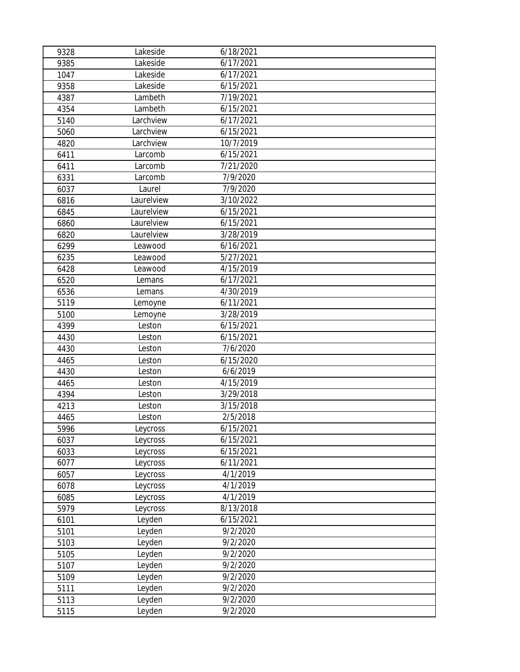| 9328 | Lakeside   | 6/18/2021 |  |
|------|------------|-----------|--|
| 9385 | Lakeside   | 6/17/2021 |  |
| 1047 | Lakeside   | 6/17/2021 |  |
| 9358 | Lakeside   | 6/15/2021 |  |
| 4387 | Lambeth    | 7/19/2021 |  |
| 4354 | Lambeth    | 6/15/2021 |  |
| 5140 | Larchview  | 6/17/2021 |  |
| 5060 | Larchview  | 6/15/2021 |  |
| 4820 | Larchview  | 10/7/2019 |  |
| 6411 | Larcomb    | 6/15/2021 |  |
| 6411 | Larcomb    | 7/21/2020 |  |
| 6331 | Larcomb    | 7/9/2020  |  |
| 6037 | Laurel     | 7/9/2020  |  |
| 6816 | Laurelview | 3/10/2022 |  |
| 6845 | Laurelview | 6/15/2021 |  |
| 6860 | Laurelview | 6/15/2021 |  |
| 6820 | Laurelview | 3/28/2019 |  |
| 6299 | Leawood    | 6/16/2021 |  |
| 6235 | Leawood    | 5/27/2021 |  |
| 6428 | Leawood    | 4/15/2019 |  |
| 6520 | Lemans     | 6/17/2021 |  |
| 6536 | Lemans     | 4/30/2019 |  |
| 5119 | Lemoyne    | 6/11/2021 |  |
| 5100 | Lemoyne    | 3/28/2019 |  |
| 4399 | Leston     | 6/15/2021 |  |
| 4430 | Leston     | 6/15/2021 |  |
| 4430 | Leston     | 7/6/2020  |  |
| 4465 | Leston     | 6/15/2020 |  |
| 4430 | Leston     | 6/6/2019  |  |
| 4465 | Leston     | 4/15/2019 |  |
| 4394 | Leston     | 3/29/2018 |  |
| 4213 | Leston     | 3/15/2018 |  |
| 4465 | Leston     | 2/5/2018  |  |
| 5996 | Leycross   | 6/15/2021 |  |
| 6037 | Leycross   | 6/15/2021 |  |
| 6033 | Leycross   | 6/15/2021 |  |
| 6077 | Leycross   | 6/11/2021 |  |
| 6057 | Leycross   | 4/1/2019  |  |
| 6078 | Leycross   | 4/1/2019  |  |
| 6085 | Leycross   | 4/1/2019  |  |
| 5979 | Leycross   | 8/13/2018 |  |
| 6101 | Leyden     | 6/15/2021 |  |
| 5101 | Leyden     | 9/2/2020  |  |
| 5103 | Leyden     | 9/2/2020  |  |
| 5105 | Leyden     | 9/2/2020  |  |
| 5107 | Leyden     | 9/2/2020  |  |
| 5109 | Leyden     | 9/2/2020  |  |
| 5111 | Leyden     | 9/2/2020  |  |
| 5113 | Leyden     | 9/2/2020  |  |
| 5115 | Leyden     | 9/2/2020  |  |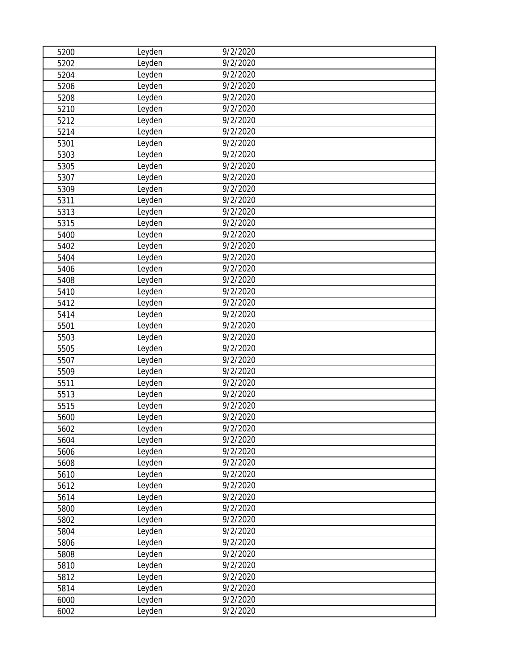| 5200 | Leyden | 9/2/2020              |  |
|------|--------|-----------------------|--|
| 5202 | Leyden | 9/2/2020              |  |
| 5204 | Leyden | 9/2/2020              |  |
| 5206 | Leyden | 9/2/2020              |  |
| 5208 | Leyden | 9/2/2020              |  |
| 5210 | Leyden | 9/2/2020              |  |
| 5212 | Leyden | 9/2/2020              |  |
| 5214 | Leyden | 9/2/2020              |  |
| 5301 | Leyden | 9/2/2020              |  |
| 5303 | Leyden | 9/2/2020              |  |
| 5305 | Leyden | 9/2/2020              |  |
| 5307 | Leyden | 9/2/2020              |  |
| 5309 | Leyden | 9/2/2020              |  |
| 5311 | Leyden | 9/2/2020              |  |
| 5313 | Leyden | 9/2/2020              |  |
| 5315 | Leyden | $\frac{1}{9/2/2020}$  |  |
| 5400 | Leyden | 9/2/2020              |  |
| 5402 | Leyden | 9/2/2020              |  |
| 5404 | Leyden | 9/2/2020              |  |
| 5406 | Leyden | $\frac{1}{9}$ /2/2020 |  |
| 5408 | Leyden | 9/2/2020              |  |
| 5410 | Leyden | 9/2/2020              |  |
| 5412 | Leyden | 9/2/2020              |  |
| 5414 | Leyden | 9/2/2020              |  |
| 5501 | Leyden | 9/2/2020              |  |
| 5503 | Leyden | 9/2/2020              |  |
| 5505 | Leyden | 9/2/2020              |  |
| 5507 | Leyden | 9/2/2020              |  |
| 5509 | Leyden | 9/2/2020              |  |
| 5511 | Leyden | 9/2/2020              |  |
| 5513 | Leyden | 9/2/2020              |  |
| 5515 | Leyden | 9/2/2020              |  |
| 5600 | Leyden | 9/2/2020              |  |
| 5602 | Leyden | 9/2/2020              |  |
| 5604 | Leyden | 9/2/2020              |  |
| 5606 | Leyden | 9/2/2020              |  |
| 5608 | Leyden | 9/2/2020              |  |
| 5610 | Leyden | 9/2/2020              |  |
| 5612 | Leyden | 9/2/2020              |  |
| 5614 | Leyden | 9/2/2020              |  |
| 5800 | Leyden | 9/2/2020              |  |
| 5802 | Leyden | 9/2/2020              |  |
| 5804 | Leyden | 9/2/2020              |  |
| 5806 | Leyden | 9/2/2020              |  |
| 5808 | Leyden | 9/2/2020              |  |
| 5810 | Leyden | 9/2/2020              |  |
| 5812 | Leyden | 9/2/2020              |  |
| 5814 | Leyden | 9/2/2020              |  |
| 6000 | Leyden | 9/2/2020              |  |
| 6002 | Leyden | 9/2/2020              |  |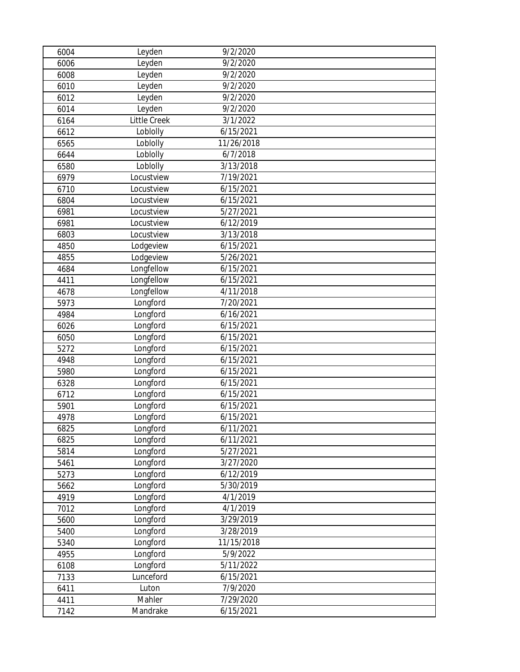| 6004 | Leyden       | 9/2/2020               |  |
|------|--------------|------------------------|--|
| 6006 | Leyden       | 9/2/2020               |  |
| 6008 | Leyden       | 9/2/2020               |  |
| 6010 | Leyden       | 9/2/2020               |  |
| 6012 | Leyden       | 9/2/2020               |  |
| 6014 | Leyden       | 9/2/2020               |  |
| 6164 | Little Creek | 3/1/2022               |  |
| 6612 | Loblolly     | 6/15/2021              |  |
| 6565 | Loblolly     | 11/26/2018             |  |
| 6644 | Loblolly     | 6/7/2018               |  |
| 6580 | Loblolly     | 3/13/2018              |  |
| 6979 | Locustview   | 7/19/2021              |  |
| 6710 | Locustview   | 6/15/2021              |  |
| 6804 | Locustview   | 6/15/2021              |  |
| 6981 | Locustview   | 5/27/2021              |  |
| 6981 | Locustview   | 6/12/2019              |  |
| 6803 | Locustview   | 3/13/2018              |  |
| 4850 | Lodgeview    | 6/15/2021              |  |
| 4855 | Lodgeview    | 5/26/2021              |  |
| 4684 | Longfellow   | $\frac{1}{6}$ /15/2021 |  |
| 4411 | Longfellow   | 6/15/2021              |  |
| 4678 | Longfellow   | 4/11/2018              |  |
| 5973 | Longford     | 7/20/2021              |  |
| 4984 | Longford     | 6/16/2021              |  |
| 6026 | Longford     | 6/15/2021              |  |
| 6050 | Longford     | 6/15/2021              |  |
| 5272 | Longford     | 6/15/2021              |  |
| 4948 | Longford     | 6/15/2021              |  |
| 5980 | Longford     | 6/15/2021              |  |
| 6328 | Longford     | 6/15/2021              |  |
| 6712 | Longford     | 6/15/2021              |  |
| 5901 | Longford     | 6/15/2021              |  |
| 4978 | Longford     | 6/15/2021              |  |
| 6825 | Longford     | 6/11/2021              |  |
| 6825 | Longford     | 6/11/2021              |  |
| 5814 | Longford     | 5/27/2021              |  |
| 5461 | Longford     | 3/27/2020              |  |
| 5273 | Longford     | 6/12/2019              |  |
| 5662 | Longford     | 5/30/2019              |  |
| 4919 | Longford     | 4/1/2019               |  |
| 7012 | Longford     | 4/1/2019               |  |
| 5600 | Longford     | 3/29/2019              |  |
| 5400 | Longford     | 3/28/2019              |  |
| 5340 | Longford     | 11/15/2018             |  |
| 4955 | Longford     | 5/9/2022               |  |
| 6108 | Longford     | 5/11/2022              |  |
| 7133 | Lunceford    | 6/15/2021              |  |
| 6411 | Luton        | 7/9/2020               |  |
| 4411 | Mahler       | 7/29/2020              |  |
| 7142 | Mandrake     | 6/15/2021              |  |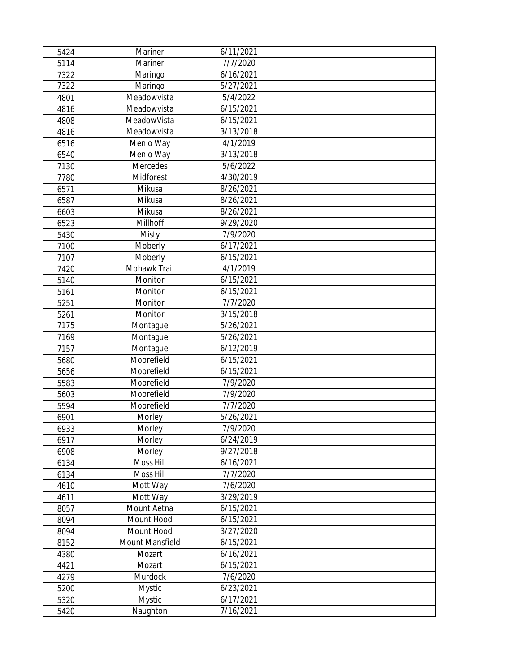| 5424 | Mariner         | 6/11/2021 |  |
|------|-----------------|-----------|--|
| 5114 | Mariner         | 7/7/2020  |  |
| 7322 | Maringo         | 6/16/2021 |  |
| 7322 | Maringo         | 5/27/2021 |  |
| 4801 | Meadowvista     | 5/4/2022  |  |
| 4816 | Meadowvista     | 6/15/2021 |  |
| 4808 | MeadowVista     | 6/15/2021 |  |
| 4816 | Meadowvista     | 3/13/2018 |  |
| 6516 | Menlo Way       | 4/1/2019  |  |
| 6540 | Menlo Way       | 3/13/2018 |  |
| 7130 | Mercedes        | 5/6/2022  |  |
| 7780 | Midforest       | 4/30/2019 |  |
| 6571 | Mikusa          | 8/26/2021 |  |
| 6587 | Mikusa          | 8/26/2021 |  |
| 6603 | Mikusa          | 8/26/2021 |  |
| 6523 | Millhoff        | 9/29/2020 |  |
| 5430 | Misty           | 7/9/2020  |  |
| 7100 | Moberly         | 6/17/2021 |  |
| 7107 | Moberly         | 6/15/2021 |  |
| 7420 | Mohawk Trail    | 4/1/2019  |  |
| 5140 | Monitor         | 6/15/2021 |  |
| 5161 | Monitor         | 6/15/2021 |  |
| 5251 | Monitor         | 7/7/2020  |  |
| 5261 | Monitor         | 3/15/2018 |  |
| 7175 | Montague        | 5/26/2021 |  |
| 7169 | Montague        | 5/26/2021 |  |
| 7157 | Montague        | 6/12/2019 |  |
| 5680 | Moorefield      | 6/15/2021 |  |
| 5656 | Moorefield      | 6/15/2021 |  |
| 5583 | Moorefield      | 7/9/2020  |  |
| 5603 | Moorefield      | 7/9/2020  |  |
| 5594 | Moorefield      | 7/7/2020  |  |
| 6901 | Morley          | 5/26/2021 |  |
| 6933 | Morley          | 7/9/2020  |  |
| 6917 | Morley          | 6/24/2019 |  |
| 6908 | Morley          | 9/27/2018 |  |
| 6134 | Moss Hill       | 6/16/2021 |  |
| 6134 | Moss Hill       | 7/7/2020  |  |
| 4610 | Mott Way        | 7/6/2020  |  |
| 4611 | Mott Way        | 3/29/2019 |  |
| 8057 | Mount Aetna     | 6/15/2021 |  |
| 8094 | Mount Hood      | 6/15/2021 |  |
| 8094 | Mount Hood      | 3/27/2020 |  |
| 8152 | Mount Mansfield | 6/15/2021 |  |
| 4380 | Mozart          | 6/16/2021 |  |
| 4421 | Mozart          | 6/15/2021 |  |
| 4279 | Murdock         | 7/6/2020  |  |
| 5200 | Mystic          | 6/23/2021 |  |
| 5320 | <b>Mystic</b>   | 6/17/2021 |  |
| 5420 | Naughton        | 7/16/2021 |  |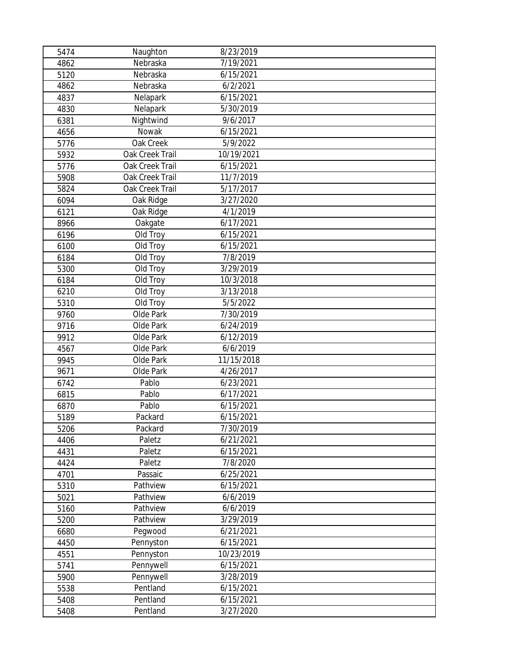| 5474 | Naughton        | 8/23/2019  |  |
|------|-----------------|------------|--|
| 4862 | Nebraska        | 7/19/2021  |  |
| 5120 | Nebraska        | 6/15/2021  |  |
| 4862 | Nebraska        | 6/2/2021   |  |
| 4837 | Nelapark        | 6/15/2021  |  |
| 4830 | Nelapark        | 5/30/2019  |  |
| 6381 | Nightwind       | 9/6/2017   |  |
| 4656 | Nowak           | 6/15/2021  |  |
| 5776 | Oak Creek       | 5/9/2022   |  |
| 5932 | Oak Creek Trail | 10/19/2021 |  |
| 5776 | Oak Creek Trail | 6/15/2021  |  |
| 5908 | Oak Creek Trail | 11/7/2019  |  |
| 5824 | Oak Creek Trail | 5/17/2017  |  |
| 6094 | Oak Ridge       | 3/27/2020  |  |
| 6121 | Oak Ridge       | 4/1/2019   |  |
| 8966 | Oakgate         | 6/17/2021  |  |
| 6196 | Old Troy        | 6/15/2021  |  |
| 6100 | Old Troy        | 6/15/2021  |  |
| 6184 | Old Troy        | 7/8/2019   |  |
| 5300 | Old Troy        | 3/29/2019  |  |
| 6184 | Old Troy        | 10/3/2018  |  |
| 6210 | Old Troy        | 3/13/2018  |  |
| 5310 | Old Troy        | 5/5/2022   |  |
| 9760 | Olde Park       | 7/30/2019  |  |
| 9716 | Olde Park       | 6/24/2019  |  |
| 9912 | Olde Park       | 6/12/2019  |  |
| 4567 | Olde Park       | 6/6/2019   |  |
| 9945 | Olde Park       | 11/15/2018 |  |
| 9671 | Olde Park       | 4/26/2017  |  |
| 6742 | Pablo           | 6/23/2021  |  |
| 6815 | Pablo           | 6/17/2021  |  |
| 6870 | Pablo           | 6/15/2021  |  |
| 5189 | Packard         | 6/15/2021  |  |
| 5206 | Packard         | 7/30/2019  |  |
| 4406 | Paletz          | 6/21/2021  |  |
| 4431 | Paletz          | 6/15/2021  |  |
| 4424 | Paletz          | 7/8/2020   |  |
| 4701 | Passaic         | 6/25/2021  |  |
| 5310 | Pathview        | 6/15/2021  |  |
| 5021 | Pathview        | 6/6/2019   |  |
| 5160 | Pathview        | 6/6/2019   |  |
| 5200 | Pathview        | 3/29/2019  |  |
| 6680 | Pegwood         | 6/21/2021  |  |
| 4450 | Pennyston       | 6/15/2021  |  |
| 4551 | Pennyston       | 10/23/2019 |  |
| 5741 | Pennywell       | 6/15/2021  |  |
| 5900 | Pennywell       | 3/28/2019  |  |
| 5538 | Pentland        | 6/15/2021  |  |
| 5408 | Pentland        | 6/15/2021  |  |
| 5408 | Pentland        | 3/27/2020  |  |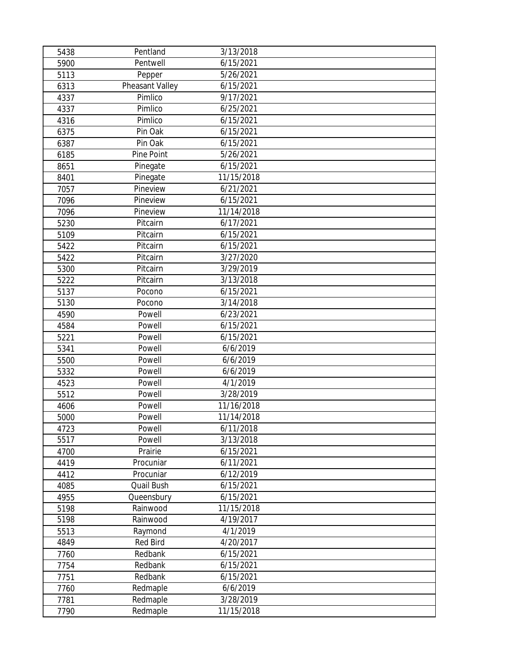| 5438 | Pentland        | 3/13/2018              |
|------|-----------------|------------------------|
| 5900 | Pentwell        | 6/15/2021              |
| 5113 | Pepper          | 5/26/2021              |
| 6313 | Pheasant Valley | 6/15/2021              |
| 4337 | Pimlico         | 9/17/2021              |
| 4337 | Pimlico         | 6/25/2021              |
| 4316 | Pimlico         | 6/15/2021              |
| 6375 | Pin Oak         | 6/15/2021              |
| 6387 | Pin Oak         | 6/15/2021              |
| 6185 | Pine Point      | 5/26/2021              |
| 8651 | Pinegate        | 6/15/2021              |
| 8401 | Pinegate        | 11/15/2018             |
| 7057 | Pineview        | 6/21/2021              |
| 7096 | Pineview        | 6/15/2021              |
| 7096 | Pineview        | 11/14/2018             |
| 5230 | Pitcairn        | 6/17/2021              |
| 5109 | Pitcairn        | 6/15/2021              |
| 5422 | Pitcairn        | 6/15/2021              |
| 5422 | Pitcairn        | 3/27/2020              |
| 5300 | Pitcairn        | 3/29/2019              |
| 5222 | Pitcairn        | 3/13/2018              |
| 5137 | Pocono          | 6/15/2021              |
| 5130 | Pocono          | 3/14/2018              |
| 4590 | Powell          | 6/23/2021              |
| 4584 | Powell          | 6/15/2021              |
| 5221 | Powell          | 6/15/2021              |
| 5341 | Powell          | 6/6/2019               |
| 5500 | Powell          | 6/6/2019               |
| 5332 | Powell          | 6/6/2019               |
| 4523 | Powell          | 4/1/2019               |
| 5512 | Powell          | 3/28/2019              |
| 4606 | Powell          | 11/16/2018             |
| 5000 | Powell          | 11/14/2018             |
| 4723 | Powell          | 6/11/2018              |
| 5517 | Powell          | 3/13/2018              |
| 4700 | Prairie         | $\frac{1}{6}$ /15/2021 |
| 4419 | Procuniar       | 6/11/2021              |
| 4412 | Procuniar       | 6/12/2019              |
| 4085 | Quail Bush      | 6/15/2021              |
| 4955 | Queensbury      | 6/15/2021              |
| 5198 | Rainwood        | 11/15/2018             |
| 5198 | Rainwood        | 4/19/2017              |
| 5513 | Raymond         | 4/1/2019               |
| 4849 | Red Bird        | 4/20/2017              |
| 7760 | Redbank         | 6/15/2021              |
| 7754 | Redbank         | 6/15/2021              |
| 7751 | Redbank         | 6/15/2021              |
| 7760 | Redmaple        | 6/6/2019               |
| 7781 | Redmaple        | 3/28/2019              |
| 7790 | Redmaple        | 11/15/2018             |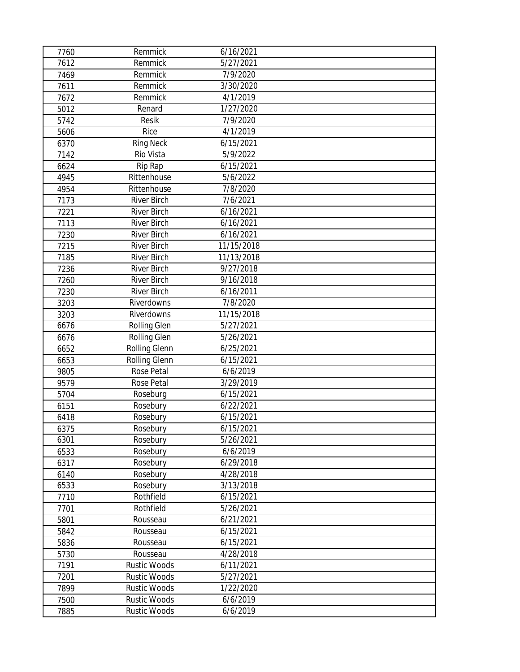| 7760 | Remmick              | 6/16/2021             |  |
|------|----------------------|-----------------------|--|
| 7612 | Remmick              | 5/27/2021             |  |
| 7469 | Remmick              | 7/9/2020              |  |
| 7611 | Remmick              | 3/30/2020             |  |
| 7672 | Remmick              | 4/1/2019              |  |
| 5012 | Renard               | 1/27/2020             |  |
| 5742 | Resik                | 7/9/2020              |  |
| 5606 | Rice                 | $\frac{1}{4}$ /1/2019 |  |
| 6370 | <b>Ring Neck</b>     | 6/15/2021             |  |
| 7142 | Rio Vista            | 5/9/2022              |  |
| 6624 | Rip Rap              | 6/15/2021             |  |
| 4945 | Rittenhouse          | 5/6/2022              |  |
| 4954 | Rittenhouse          | 7/8/2020              |  |
| 7173 | <b>River Birch</b>   | 7/6/2021              |  |
| 7221 | <b>River Birch</b>   | 6/16/2021             |  |
| 7113 | <b>River Birch</b>   | 6/16/2021             |  |
| 7230 | <b>River Birch</b>   | 6/16/2021             |  |
| 7215 | <b>River Birch</b>   | 11/15/2018            |  |
| 7185 | <b>River Birch</b>   | 11/13/2018            |  |
| 7236 | <b>River Birch</b>   | 9/27/2018             |  |
| 7260 | <b>River Birch</b>   | 9/16/2018             |  |
| 7230 | <b>River Birch</b>   | 6/16/2011             |  |
| 3203 | Riverdowns           | 7/8/2020              |  |
| 3203 | Riverdowns           | 11/15/2018            |  |
| 6676 | Rolling Glen         | 5/27/2021             |  |
| 6676 | Rolling Glen         | 5/26/2021             |  |
| 6652 | Rolling Glenn        | 6/25/2021             |  |
| 6653 | <b>Rolling Glenn</b> | 6/15/2021             |  |
| 9805 | Rose Petal           | 6/6/2019              |  |
| 9579 | Rose Petal           | 3/29/2019             |  |
| 5704 | Roseburg             | 6/15/2021             |  |
| 6151 | Rosebury             | 6/22/2021             |  |
| 6418 | Rosebury             | 6/15/2021             |  |
| 6375 | Rosebury             | 6/15/2021             |  |
| 6301 | Rosebury             | 5/26/2021             |  |
| 6533 | Rosebury             | 6/6/2019              |  |
| 6317 | Rosebury             | 6/29/2018             |  |
| 6140 | Rosebury             | 4/28/2018             |  |
| 6533 | Rosebury             | 3/13/2018             |  |
| 7710 | Rothfield            | 6/15/2021             |  |
| 7701 | Rothfield            | 5/26/2021             |  |
| 5801 | Rousseau             | 6/21/2021             |  |
| 5842 | Rousseau             | 6/15/2021             |  |
| 5836 | Rousseau             | 6/15/2021             |  |
| 5730 | Rousseau             | 4/28/2018             |  |
| 7191 | <b>Rustic Woods</b>  | 6/11/2021             |  |
| 7201 | <b>Rustic Woods</b>  | 5/27/2021             |  |
| 7899 | <b>Rustic Woods</b>  | 1/22/2020             |  |
| 7500 | <b>Rustic Woods</b>  | 6/6/2019              |  |
| 7885 | Rustic Woods         | 6/6/2019              |  |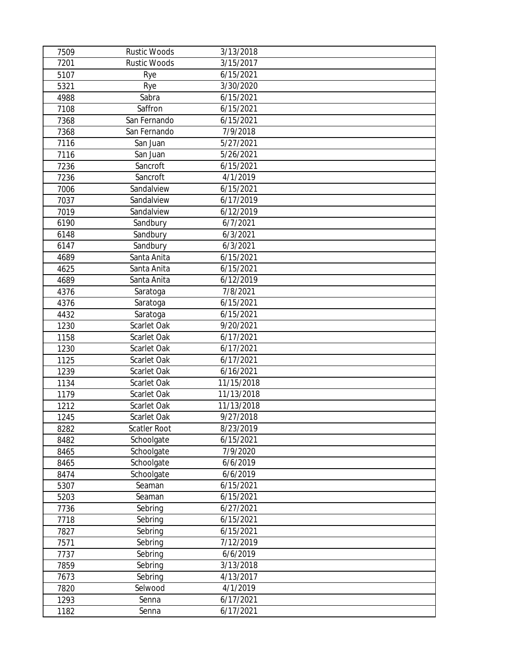| 7509 | <b>Rustic Woods</b> | 3/13/2018  |  |
|------|---------------------|------------|--|
| 7201 | <b>Rustic Woods</b> | 3/15/2017  |  |
| 5107 | Rye                 | 6/15/2021  |  |
| 5321 | Rye                 | 3/30/2020  |  |
| 4988 | Sabra               | 6/15/2021  |  |
| 7108 | Saffron             | 6/15/2021  |  |
| 7368 | San Fernando        | 6/15/2021  |  |
| 7368 | San Fernando        | 7/9/2018   |  |
| 7116 | San Juan            | 5/27/2021  |  |
| 7116 | San Juan            | 5/26/2021  |  |
| 7236 | Sancroft            | 6/15/2021  |  |
| 7236 | Sancroft            | 4/1/2019   |  |
| 7006 | Sandalview          | 6/15/2021  |  |
| 7037 | Sandalview          | 6/17/2019  |  |
| 7019 | Sandalview          | 6/12/2019  |  |
| 6190 | Sandbury            | 6/7/2021   |  |
| 6148 | Sandbury            | 6/3/2021   |  |
| 6147 | Sandbury            | 6/3/2021   |  |
| 4689 | Santa Anita         | 6/15/2021  |  |
| 4625 | Santa Anita         | 6/15/2021  |  |
| 4689 | Santa Anita         | 6/12/2019  |  |
| 4376 | Saratoga            | 7/8/2021   |  |
| 4376 | Saratoga            | 6/15/2021  |  |
| 4432 | Saratoga            | 6/15/2021  |  |
| 1230 | Scarlet Oak         | 9/20/2021  |  |
| 1158 | Scarlet Oak         | 6/17/2021  |  |
| 1230 | Scarlet Oak         | 6/17/2021  |  |
| 1125 | Scarlet Oak         | 6/17/2021  |  |
| 1239 | Scarlet Oak         | 6/16/2021  |  |
| 1134 | Scarlet Oak         | 11/15/2018 |  |
| 1179 | Scarlet Oak         | 11/13/2018 |  |
| 1212 | Scarlet Oak         | 11/13/2018 |  |
| 1245 | Scarlet Oak         | 9/27/2018  |  |
| 8282 | Scatler Root        | 8/23/2019  |  |
| 8482 | Schoolgate          | 6/15/2021  |  |
| 8465 | Schoolgate          | 7/9/2020   |  |
| 8465 | Schoolgate          | 6/6/2019   |  |
| 8474 | Schoolgate          | 6/6/2019   |  |
| 5307 | Seaman              | 6/15/2021  |  |
| 5203 | Seaman              | 6/15/2021  |  |
| 7736 | Sebring             | 6/27/2021  |  |
| 7718 | Sebring             | 6/15/2021  |  |
| 7827 | Sebring             | 6/15/2021  |  |
| 7571 | Sebring             | 7/12/2019  |  |
| 7737 | Sebring             | 6/6/2019   |  |
| 7859 | Sebring             | 3/13/2018  |  |
| 7673 | Sebring             | 4/13/2017  |  |
| 7820 | Selwood             | 4/1/2019   |  |
| 1293 | Senna               | 6/17/2021  |  |
| 1182 | Senna               | 6/17/2021  |  |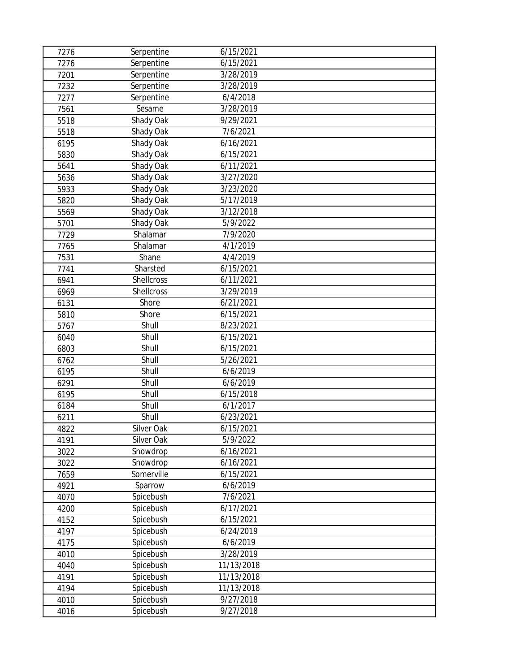| 7276 | Serpentine | 6/15/2021  |  |
|------|------------|------------|--|
| 7276 | Serpentine | 6/15/2021  |  |
| 7201 | Serpentine | 3/28/2019  |  |
| 7232 | Serpentine | 3/28/2019  |  |
| 7277 | Serpentine | 6/4/2018   |  |
| 7561 | Sesame     | 3/28/2019  |  |
| 5518 | Shady Oak  | 9/29/2021  |  |
| 5518 | Shady Oak  | 7/6/2021   |  |
| 6195 | Shady Oak  | 6/16/2021  |  |
| 5830 | Shady Oak  | 6/15/2021  |  |
| 5641 | Shady Oak  | 6/11/2021  |  |
| 5636 | Shady Oak  | 3/27/2020  |  |
| 5933 | Shady Oak  | 3/23/2020  |  |
| 5820 | Shady Oak  | 5/17/2019  |  |
| 5569 | Shady Oak  | 3/12/2018  |  |
| 5701 | Shady Oak  | 5/9/2022   |  |
| 7729 | Shalamar   | 7/9/2020   |  |
| 7765 | Shalamar   | 4/1/2019   |  |
| 7531 | Shane      | 4/4/2019   |  |
| 7741 | Sharsted   | 6/15/2021  |  |
| 6941 | Shellcross | 6/11/2021  |  |
| 6969 | Shellcross | 3/29/2019  |  |
| 6131 | Shore      | 6/21/2021  |  |
| 5810 | Shore      | 6/15/2021  |  |
| 5767 | Shull      | 8/23/2021  |  |
| 6040 | Shull      | 6/15/2021  |  |
| 6803 | Shull      | 6/15/2021  |  |
| 6762 | Shull      | 5/26/2021  |  |
| 6195 | Shull      | 6/6/2019   |  |
| 6291 | Shull      | 6/6/2019   |  |
| 6195 | Shull      | 6/15/2018  |  |
| 6184 | Shull      | 6/1/2017   |  |
| 6211 | Shull      | 6/23/2021  |  |
| 4822 | Silver Oak | 6/15/2021  |  |
| 4191 | Silver Oak | 5/9/2022   |  |
| 3022 | Snowdrop   | 6/16/2021  |  |
| 3022 | Snowdrop   | 6/16/2021  |  |
| 7659 | Somerville | 6/15/2021  |  |
| 4921 | Sparrow    | 6/6/2019   |  |
| 4070 | Spicebush  | 7/6/2021   |  |
| 4200 | Spicebush  | 6/17/2021  |  |
| 4152 | Spicebush  | 6/15/2021  |  |
| 4197 | Spicebush  | 6/24/2019  |  |
| 4175 | Spicebush  | 6/6/2019   |  |
| 4010 | Spicebush  | 3/28/2019  |  |
| 4040 | Spicebush  | 11/13/2018 |  |
| 4191 | Spicebush  | 11/13/2018 |  |
| 4194 | Spicebush  | 11/13/2018 |  |
| 4010 | Spicebush  | 9/27/2018  |  |
| 4016 | Spicebush  | 9/27/2018  |  |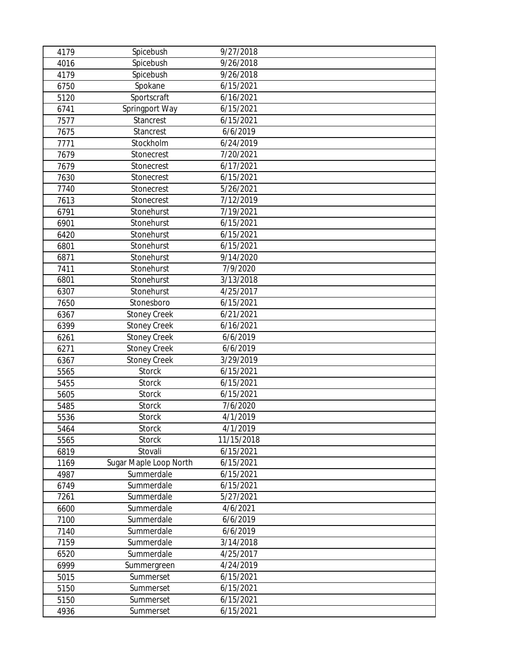| 4179 | Spicebush              | 9/27/2018  |
|------|------------------------|------------|
| 4016 | Spicebush              | 9/26/2018  |
| 4179 | Spicebush              | 9/26/2018  |
| 6750 | Spokane                | 6/15/2021  |
| 5120 | Sportscraft            | 6/16/2021  |
| 6741 | Springport Way         | 6/15/2021  |
| 7577 | Stancrest              | 6/15/2021  |
| 7675 | Stancrest              | 6/6/2019   |
| 7771 | Stockholm              | 6/24/2019  |
| 7679 | Stonecrest             | 7/20/2021  |
| 7679 | Stonecrest             | 6/17/2021  |
| 7630 | Stonecrest             | 6/15/2021  |
| 7740 | Stonecrest             | 5/26/2021  |
| 7613 | Stonecrest             | 7/12/2019  |
| 6791 | Stonehurst             | 7/19/2021  |
| 6901 | Stonehurst             | 6/15/2021  |
| 6420 | Stonehurst             | 6/15/2021  |
| 6801 | Stonehurst             | 6/15/2021  |
| 6871 | Stonehurst             | 9/14/2020  |
| 7411 | Stonehurst             | 7/9/2020   |
| 6801 | Stonehurst             | 3/13/2018  |
| 6307 | Stonehurst             | 4/25/2017  |
| 7650 | Stonesboro             | 6/15/2021  |
| 6367 | <b>Stoney Creek</b>    | 6/21/2021  |
| 6399 | <b>Stoney Creek</b>    | 6/16/2021  |
| 6261 | <b>Stoney Creek</b>    | 6/6/2019   |
| 6271 | <b>Stoney Creek</b>    | 6/6/2019   |
| 6367 | <b>Stoney Creek</b>    | 3/29/2019  |
| 5565 | Storck                 | 6/15/2021  |
| 5455 | <b>Storck</b>          | 6/15/2021  |
| 5605 | Storck                 | 6/15/2021  |
| 5485 | <b>Storck</b>          | 7/6/2020   |
| 5536 | Storck                 | 4/1/2019   |
| 5464 | Storck                 | 4/1/2019   |
| 5565 | Storck                 | 11/15/2018 |
| 6819 | Stovali                | 6/15/2021  |
| 1169 | Sugar Maple Loop North | 6/15/2021  |
| 4987 | Summerdale             | 6/15/2021  |
| 6749 | Summerdale             | 6/15/2021  |
| 7261 | Summerdale             | 5/27/2021  |
| 6600 | Summerdale             | 4/6/2021   |
| 7100 | Summerdale             | 6/6/2019   |
| 7140 | Summerdale             | 6/6/2019   |
| 7159 | Summerdale             | 3/14/2018  |
| 6520 | Summerdale             | 4/25/2017  |
| 6999 | Summergreen            | 4/24/2019  |
| 5015 | Summerset              | 6/15/2021  |
| 5150 | Summerset              | 6/15/2021  |
| 5150 | Summerset              | 6/15/2021  |
| 4936 | Summerset              | 6/15/2021  |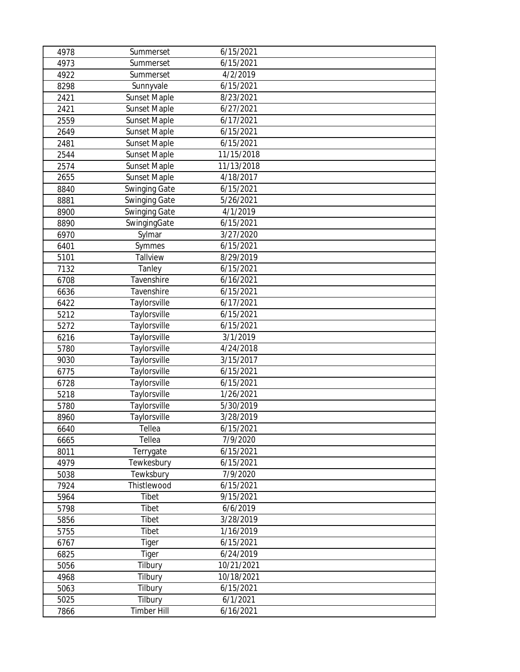| 4978 | Summerset            | 6/15/2021  |
|------|----------------------|------------|
| 4973 | Summerset            | 6/15/2021  |
| 4922 | Summerset            | 4/2/2019   |
| 8298 | Sunnyvale            | 6/15/2021  |
| 2421 | <b>Sunset Maple</b>  | 8/23/2021  |
| 2421 | <b>Sunset Maple</b>  | 6/27/2021  |
| 2559 | <b>Sunset Maple</b>  | 6/17/2021  |
| 2649 | <b>Sunset Maple</b>  | 6/15/2021  |
| 2481 | <b>Sunset Maple</b>  | 6/15/2021  |
| 2544 | <b>Sunset Maple</b>  | 11/15/2018 |
| 2574 | <b>Sunset Maple</b>  | 11/13/2018 |
| 2655 | <b>Sunset Maple</b>  | 4/18/2017  |
| 8840 | <b>Swinging Gate</b> | 6/15/2021  |
| 8881 | <b>Swinging Gate</b> | 5/26/2021  |
| 8900 | <b>Swinging Gate</b> | 4/1/2019   |
| 8890 | SwingingGate         | 6/15/2021  |
| 6970 | Sylmar               | 3/27/2020  |
| 6401 | Symmes               | 6/15/2021  |
| 5101 | Tallview             | 8/29/2019  |
| 7132 | Tanley               | 6/15/2021  |
| 6708 | Tavenshire           | 6/16/2021  |
| 6636 | Tavenshire           | 6/15/2021  |
| 6422 | Taylorsville         | 6/17/2021  |
| 5212 | Taylorsville         | 6/15/2021  |
| 5272 | Taylorsville         | 6/15/2021  |
| 6216 | Taylorsville         | 3/1/2019   |
| 5780 | Taylorsville         | 4/24/2018  |
| 9030 | Taylorsville         | 3/15/2017  |
| 6775 | Taylorsville         | 6/15/2021  |
| 6728 | Taylorsville         | 6/15/2021  |
| 5218 | Taylorsville         | 1/26/2021  |
| 5780 | Taylorsville         | 5/30/2019  |
| 8960 | Taylorsville         | 3/28/2019  |
| 6640 | Tellea               | 6/15/2021  |
| 6665 | Tellea               | 7/9/2020   |
| 8011 | Terrygate            | 6/15/2021  |
| 4979 | Tewkesbury           | 6/15/2021  |
| 5038 | Tewksbury            | 7/9/2020   |
| 7924 | Thistlewood          | 6/15/2021  |
| 5964 | Tibet                | 9/15/2021  |
| 5798 | Tibet                | 6/6/2019   |
| 5856 | Tibet                | 3/28/2019  |
| 5755 | Tibet                | 1/16/2019  |
| 6767 | Tiger                | 6/15/2021  |
| 6825 | Tiger                | 6/24/2019  |
| 5056 | Tilbury              | 10/21/2021 |
| 4968 | Tilbury              | 10/18/2021 |
| 5063 | Tilbury              | 6/15/2021  |
| 5025 | Tilbury              | 6/1/2021   |
| 7866 | <b>Timber Hill</b>   | 6/16/2021  |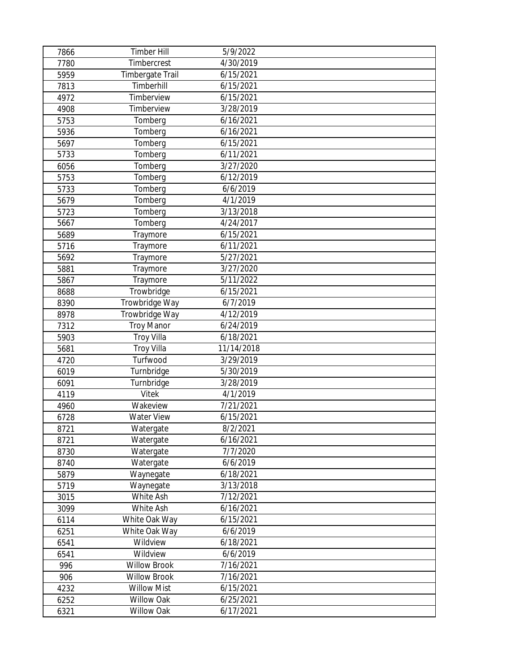| 7866 | <b>Timber Hill</b>      | 5/9/2022   |  |
|------|-------------------------|------------|--|
| 7780 | Timbercrest             | 4/30/2019  |  |
| 5959 | <b>Timbergate Trail</b> | 6/15/2021  |  |
| 7813 | Timberhill              | 6/15/2021  |  |
| 4972 | Timberview              | 6/15/2021  |  |
| 4908 | Timberview              | 3/28/2019  |  |
| 5753 | Tomberg                 | 6/16/2021  |  |
| 5936 | Tomberg                 | 6/16/2021  |  |
| 5697 | Tomberg                 | 6/15/2021  |  |
| 5733 | Tomberg                 | 6/11/2021  |  |
| 6056 | Tomberg                 | 3/27/2020  |  |
| 5753 | Tomberg                 | 6/12/2019  |  |
| 5733 | Tomberg                 | 6/6/2019   |  |
| 5679 | Tomberg                 | 4/1/2019   |  |
| 5723 | Tomberg                 | 3/13/2018  |  |
| 5667 | Tomberg                 | 4/24/2017  |  |
| 5689 | Traymore                | 6/15/2021  |  |
| 5716 | Traymore                | 6/11/2021  |  |
| 5692 | Traymore                | 5/27/2021  |  |
| 5881 | Traymore                | 3/27/2020  |  |
| 5867 | Traymore                | 5/11/2022  |  |
| 8688 | Trowbridge              | 6/15/2021  |  |
| 8390 | Trowbridge Way          | 6/7/2019   |  |
| 8978 | Trowbridge Way          | 4/12/2019  |  |
| 7312 | <b>Troy Manor</b>       | 6/24/2019  |  |
| 5903 | <b>Troy Villa</b>       | 6/18/2021  |  |
| 5681 | <b>Troy Villa</b>       | 11/14/2018 |  |
| 4720 | Turfwood                | 3/29/2019  |  |
| 6019 | Turnbridge              | 5/30/2019  |  |
| 6091 | Turnbridge              | 3/28/2019  |  |
| 4119 | Vitek                   | 4/1/2019   |  |
| 4960 | Wakeview                | 7/21/2021  |  |
| 6728 | Water View              | 6/15/2021  |  |
| 8721 | Watergate               | 8/2/2021   |  |
| 8721 | Watergate               | 6/16/2021  |  |
| 8730 | Watergate               | 7/7/2020   |  |
| 8740 | Watergate               | 6/6/2019   |  |
| 5879 | Waynegate               | 6/18/2021  |  |
| 5719 | Waynegate               | 3/13/2018  |  |
| 3015 | White Ash               | 7/12/2021  |  |
| 3099 | White Ash               | 6/16/2021  |  |
| 6114 | White Oak Way           | 6/15/2021  |  |
| 6251 | White Oak Way           | 6/6/2019   |  |
| 6541 | Wildview                | 6/18/2021  |  |
| 6541 | Wildview                | 6/6/2019   |  |
| 996  | <b>Willow Brook</b>     | 7/16/2021  |  |
| 906  | <b>Willow Brook</b>     | 7/16/2021  |  |
| 4232 | <b>Willow Mist</b>      | 6/15/2021  |  |
| 6252 | Willow Oak              | 6/25/2021  |  |
| 6321 | Willow Oak              | 6/17/2021  |  |